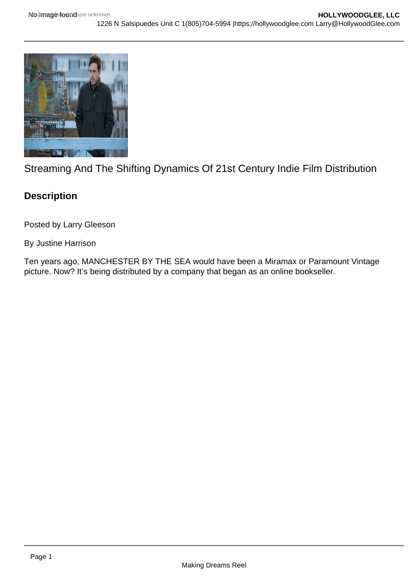

Streaming And The Shifting Dynamics Of 21st Century Indie Film Distribution

## **Description**

Posted by Larry Gleeson

By Justine Harrison

Ten years ago, MANCHESTER BY THE SEA would have been a Miramax or Paramount Vintage picture. Now? It's being distributed by a company that began as an online bookseller.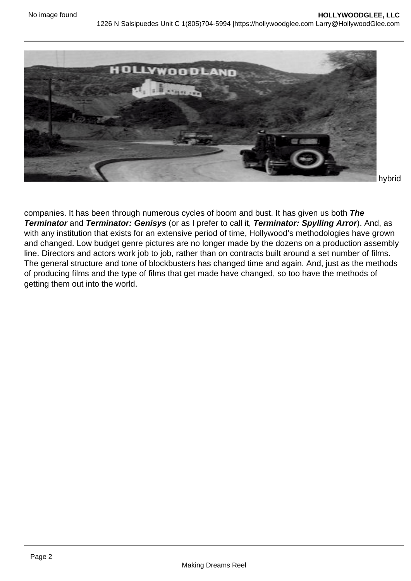

hybrid

companies. It has been through numerous cycles of boom and bust. It has given us both **The Terminator** and **Terminator: Genisys** (or as I prefer to call it, **Terminator: Spylling Arror**). And, as with any institution that exists for an extensive period of time, Hollywood's methodologies have grown and changed. Low budget genre pictures are no longer made by the dozens on a production assembly line. Directors and actors work job to job, rather than on contracts built around a set number of films. The general structure and tone of blockbusters has changed time and again. And, just as the methods of producing films and the type of films that get made have changed, so too have the methods of getting them out into the world.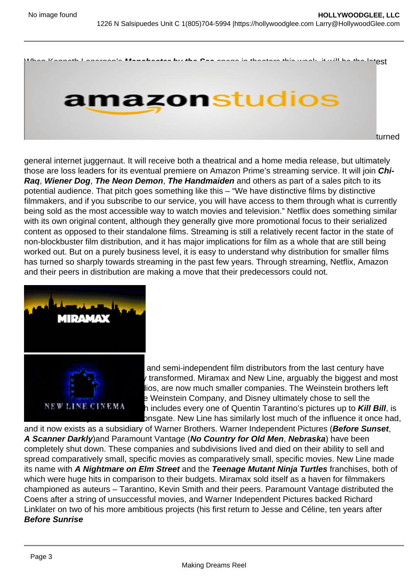When Kenneth Lonergan's Manchester by the Sea opens in theaters this week, it will be the latest offering from Amazon Films, the film distribution branch of the online bookseller

## turned

general internet juggernaut. It will receive both a theatrical and a home media release, but ultimately those are loss leaders for its eventual premiere on Amazon Prime's streaming service. It will join Chi-Raq, Wiener Dog , The Neon Demon , The Handmaiden and others as part of a sales pitch to its potential audience. That pitch goes something like this – "We have distinctive films by distinctive filmmakers, and if you subscribe to our service, you will have access to them through what is currently being sold as the most accessible way to watch movies and television." Netflix does something similar with its own original content, although they generally give more promotional focus to their serialized content as opposed to their standalone films. Streaming is still a relatively recent factor in the state of non-blockbuster film distribution, and it has major implications for film as a whole that are still being worked out. But on a purely business level, it is easy to understand why distribution for smaller films has turned so sharply towards streaming in the past few years. Through streaming, Netflix, Amazon and their peers in distribution are making a move that their predecessors could not.

[Many of the biggest independent](https://hollywoodglee.com/2016/12/01/streaming-and-the-shifting-dynamics-of-21st-century-indie-film-distribution/screen-shot-2016-11-30-at-3-52-43-pm/) and semi-independent film distributors from the last century have either folded or been dramatically transformed. Miramax and New Line, arguably the biggest and most powerful of these mini-major studios, are now much smaller companies. The Weinstein brothers left Miramax in the 2000s to form The Weinstein Company, and Disney ultimately chose to sell the company off. Its film library, which includes every one of Quentin Tarantino's pictures up to Kill Bill , is now distributed by former rival Lionsgate. New Line has similarly lost much of the influence it once had, and it now exists as a subsidiary of Warner Brothers. Warner Independent Pictures (Before Sunset , A Scanner Darkly )and Paramount Vantage (No Country for Old Men , Nebraska ) have been completely shut down. These companies and subdivisions lived and died on their ability to sell and spread comparatively small, specific movies as comparatively small, specific movies. New Line made its name with A Nightmare on Elm Street and the Teenage Mutant Ninja Turtles franchises, both of which were huge hits in comparison to their budgets. Miramax sold itself as a haven for filmmakers championed as auteurs – Tarantino, Kevin Smith and their peers. Paramount Vantage distributed the Coens after a string of unsuccessful movies, and Warner Independent Pictures backed Richard Linklater on two of his more ambitious projects (his first return to Jesse and Céline, ten years after Before Sunrise